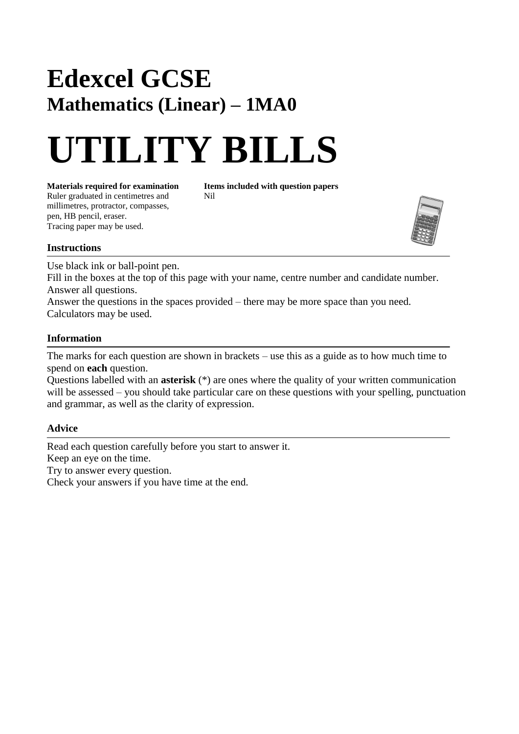## **Edexcel GCSE Mathematics (Linear) – 1MA0**

# **UTILITY BILLS**

**Materials required for examination Items included with question papers**<br>Ruler graduated in centimetres and **Nil** Ruler graduated in centimetres and millimetres, protractor, compasses, pen, HB pencil, eraser. Tracing paper may be used.



#### **Instructions**

Use black ink or ball-point pen.

Fill in the boxes at the top of this page with your name, centre number and candidate number. Answer all questions.

Answer the questions in the spaces provided – there may be more space than you need. Calculators may be used.

#### **Information**

The marks for each question are shown in brackets – use this as a guide as to how much time to spend on **each** question.

Questions labelled with an **asterisk** (\*) are ones where the quality of your written communication will be assessed – you should take particular care on these questions with your spelling, punctuation and grammar, as well as the clarity of expression.

### **Advice**

Read each question carefully before you start to answer it. Keep an eye on the time. Try to answer every question. Check your answers if you have time at the end.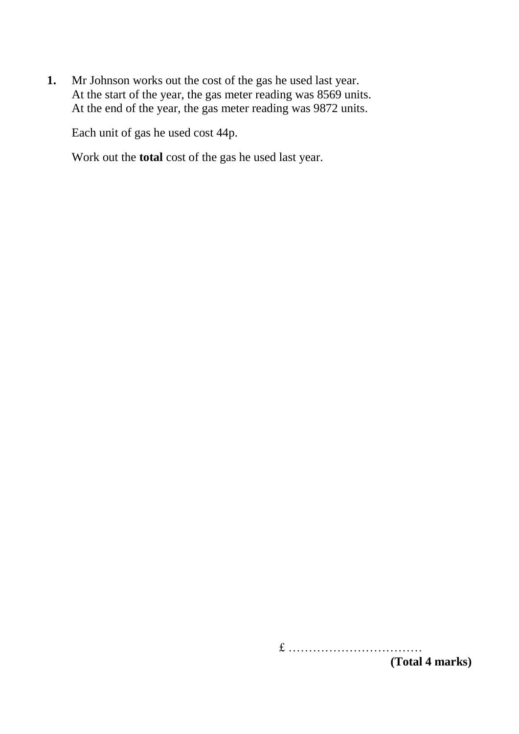**1.** Mr Johnson works out the cost of the gas he used last year. At the start of the year, the gas meter reading was 8569 units. At the end of the year, the gas meter reading was 9872 units.

Each unit of gas he used cost 44p.

Work out the **total** cost of the gas he used last year.

£ …………………………… **(Total 4 marks)**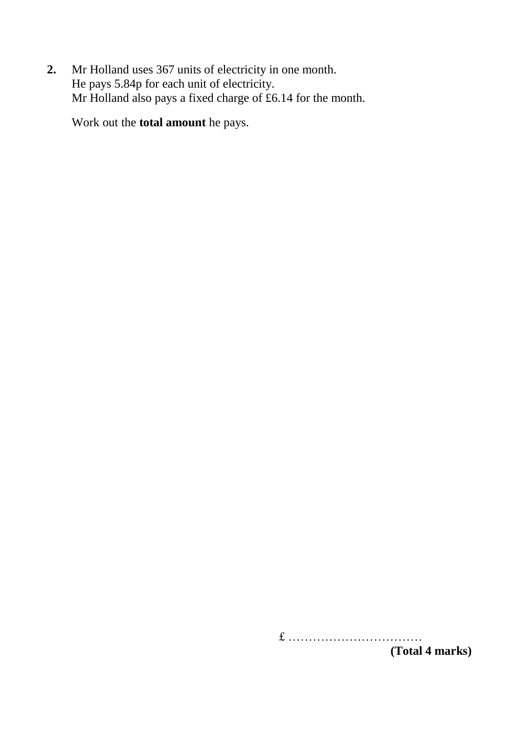**2.** Mr Holland uses 367 units of electricity in one month. He pays 5.84p for each unit of electricity. Mr Holland also pays a fixed charge of £6.14 for the month.

Work out the **total amount** he pays.

£ ……………………………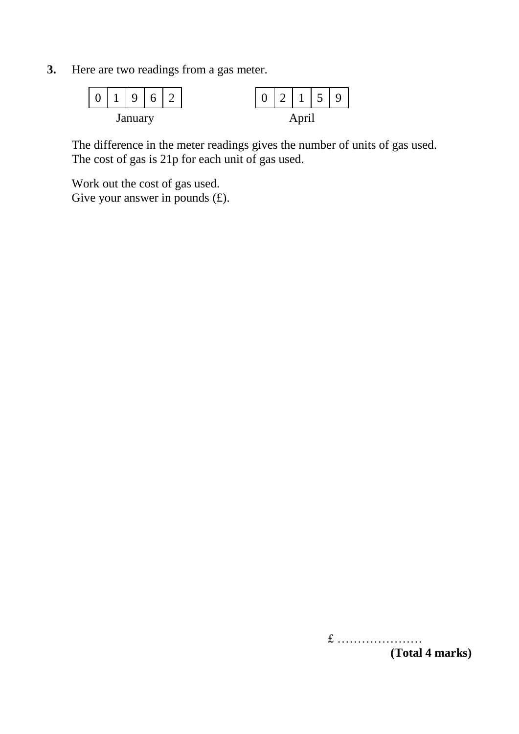**3.** Here are two readings from a gas meter.



The difference in the meter readings gives the number of units of gas used. The cost of gas is 21p for each unit of gas used.

Work out the cost of gas used. Give your answer in pounds  $(f)$ .

£ …………………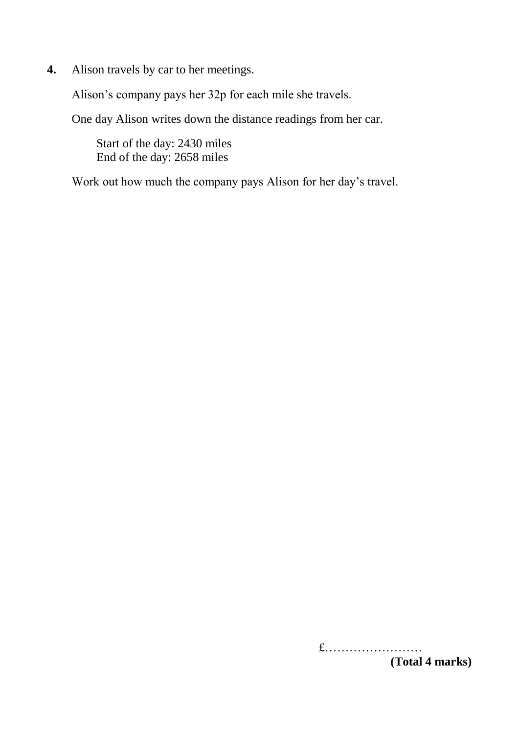**4.** Alison travels by car to her meetings.

Alison's company pays her 32p for each mile she travels.

One day Alison writes down the distance readings from her car.

Start of the day: 2430 miles End of the day: 2658 miles

Work out how much the company pays Alison for her day's travel.

£…………………… **(Total 4 marks)**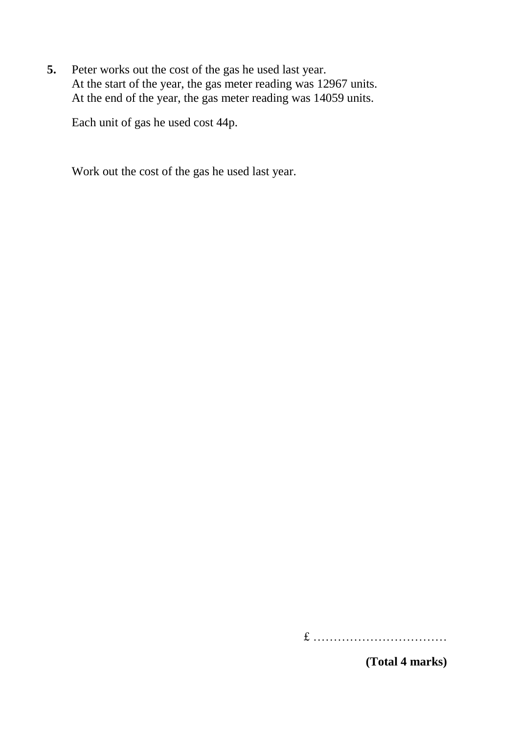**5.** Peter works out the cost of the gas he used last year. At the start of the year, the gas meter reading was 12967 units. At the end of the year, the gas meter reading was 14059 units.

Each unit of gas he used cost 44p.

Work out the cost of the gas he used last year.

£ ……………………………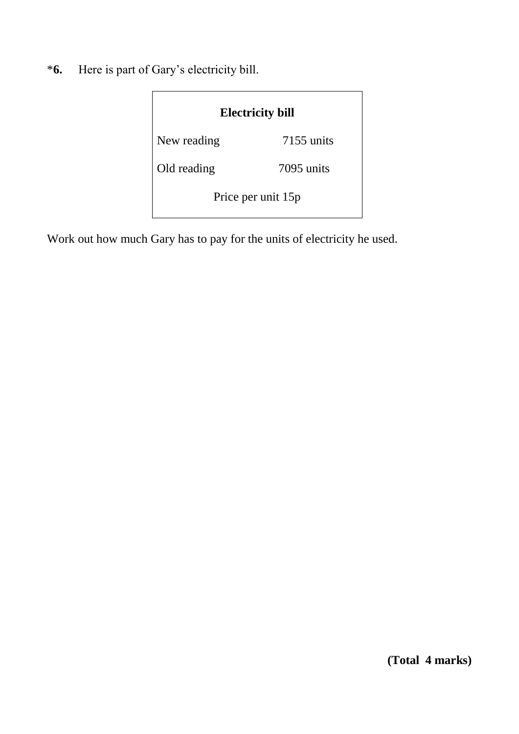\***6.** Here is part of Gary's electricity bill.

| <b>Electricity bill</b> |              |  |
|-------------------------|--------------|--|
| New reading             | $7155$ units |  |
| Old reading             | 7095 units   |  |
| Price per unit 15p      |              |  |

Work out how much Gary has to pay for the units of electricity he used.